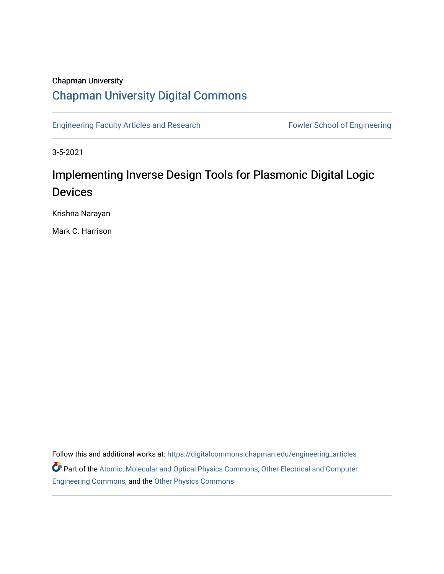# Chapman University [Chapman University Digital Commons](https://digitalcommons.chapman.edu/)

[Engineering Faculty Articles and Research](https://digitalcommons.chapman.edu/engineering_articles) Fowler School of Engineering

3-5-2021

# Implementing Inverse Design Tools for Plasmonic Digital Logic **Devices**

Krishna Narayan

Mark C. Harrison

Follow this and additional works at: [https://digitalcommons.chapman.edu/engineering\\_articles](https://digitalcommons.chapman.edu/engineering_articles?utm_source=digitalcommons.chapman.edu%2Fengineering_articles%2F138&utm_medium=PDF&utm_campaign=PDFCoverPages)  Part of the [Atomic, Molecular and Optical Physics Commons,](http://network.bepress.com/hgg/discipline/195?utm_source=digitalcommons.chapman.edu%2Fengineering_articles%2F138&utm_medium=PDF&utm_campaign=PDFCoverPages) Other Electrical and Computer [Engineering Commons,](http://network.bepress.com/hgg/discipline/278?utm_source=digitalcommons.chapman.edu%2Fengineering_articles%2F138&utm_medium=PDF&utm_campaign=PDFCoverPages) and the [Other Physics Commons](http://network.bepress.com/hgg/discipline/207?utm_source=digitalcommons.chapman.edu%2Fengineering_articles%2F138&utm_medium=PDF&utm_campaign=PDFCoverPages)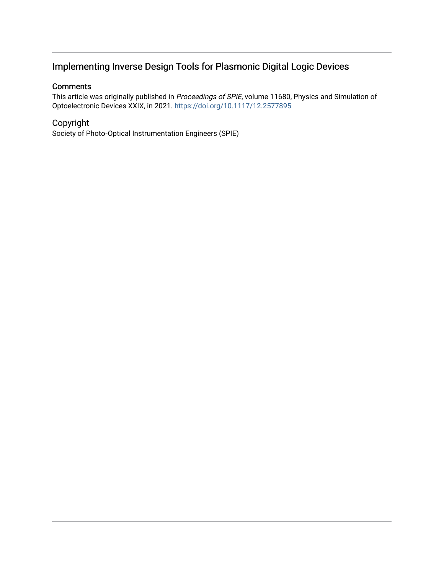## Implementing Inverse Design Tools for Plasmonic Digital Logic Devices

### **Comments**

This article was originally published in Proceedings of SPIE, volume 11680, Physics and Simulation of Optoelectronic Devices XXIX, in 2021. <https://doi.org/10.1117/12.2577895>

### Copyright

Society of Photo-Optical Instrumentation Engineers (SPIE)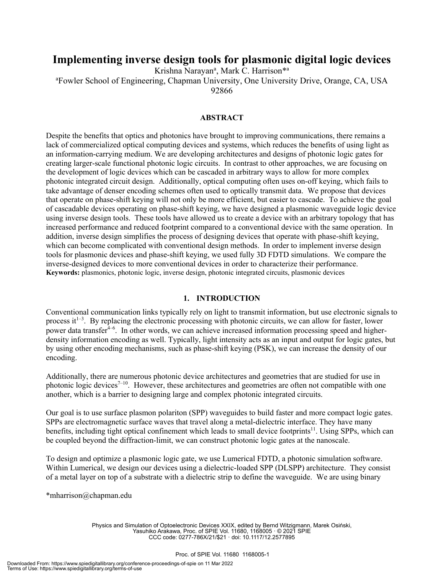### **Implementing inverse design tools for plasmonic digital logic devices**

Krishna Narayan<sup>a</sup>, Mark C. Harrison<sup>\*a</sup> a Fowler School of Engineering, Chapman University, One University Drive, Orange, CA, USA 92866

#### **ABSTRACT**

Despite the benefits that optics and photonics have brought to improving communications, there remains a lack of commercialized optical computing devices and systems, which reduces the benefits of using light as an information-carrying medium. We are developing architectures and designs of photonic logic gates for creating larger-scale functional photonic logic circuits. In contrast to other approaches, we are focusing on the development of logic devices which can be cascaded in arbitrary ways to allow for more complex photonic integrated circuit design. Additionally, optical computing often uses on-off keying, which fails to take advantage of denser encoding schemes often used to optically transmit data. We propose that devices that operate on phase-shift keying will not only be more efficient, but easier to cascade. To achieve the goal of cascadable devices operating on phase-shift keying, we have designed a plasmonic waveguide logic device using inverse design tools. These tools have allowed us to create a device with an arbitrary topology that has increased performance and reduced footprint compared to a conventional device with the same operation. In addition, inverse design simplifies the process of designing devices that operate with phase-shift keying, which can become complicated with conventional design methods. In order to implement inverse design tools for plasmonic devices and phase-shift keying, we used fully 3D FDTD simulations. We compare the inverse-designed devices to more conventional devices in order to characterize their performance. **Keywords:** plasmonics, photonic logic, inverse design, photonic integrated circuits, plasmonic devices

#### **1. INTRODUCTION**

Conventional communication links typically rely on light to transmit information, but use electronic signals to process it<sup>1-3</sup>. By replacing the electronic processing with photonic circuits, we can allow for faster, lower power data transfer<sup>4-6</sup>. In other words, we can achieve increased information processing speed and higherdensity information encoding as well. Typically, light intensity acts as an input and output for logic gates, but by using other encoding mechanisms, such as phase-shift keying (PSK), we can increase the density of our encoding.

Additionally, there are numerous photonic device architectures and geometries that are studied for use in photonic logic devices<sup>7-10</sup>. However, these architectures and geometries are often not compatible with one another, which is a barrier to designing large and complex photonic integrated circuits.

Our goal is to use surface plasmon polariton (SPP) waveguides to build faster and more compact logic gates. SPPs are electromagnetic surface waves that travel along a metal-dielectric interface. They have many benefits, including tight optical confinement which leads to small device footprints<sup>11</sup>. Using SPPs, which can be coupled beyond the diffraction-limit, we can construct photonic logic gates at the nanoscale.

To design and optimize a plasmonic logic gate, we use Lumerical FDTD, a photonic simulation software. Within Lumerical, we design our devices using a dielectric-loaded SPP (DLSPP) architecture. They consist of a metal layer on top of a substrate with a dielectric strip to define the waveguide. We are using binary

\*mharrison@chapman.edu

Physics and Simulation of Optoelectronic Devices XXIX, edited by Bernd Witzigmann, Marek Osiński, Yasuhiko Arakawa, Proc. of SPIE Vol. 11680, 1168005 · © 2021 SPIE CCC code: 0277-786X/21/\$21 · doi: 10.1117/12.2577895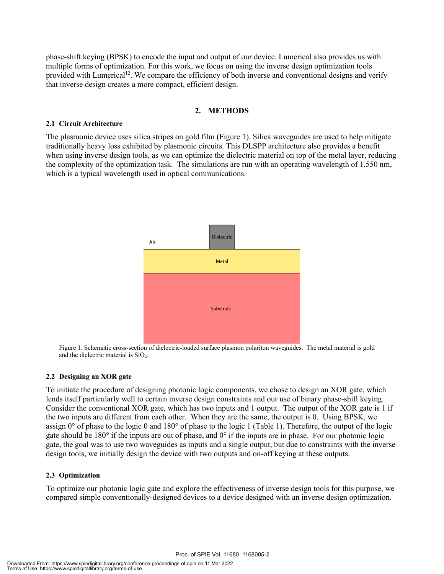phase-shift keying (BPSK) to encode the input and output of our device. Lumerical also provides us with multiple forms of optimization. For this work, we focus on using the inverse design optimization tools provided with Lumerical<sup>12</sup>. We compare the efficiency of both inverse and conventional designs and verify that inverse design creates a more compact, efficient design.

#### **2. METHODS**

#### **2.1 Circuit Architecture**

The plasmonic device uses silica stripes on gold film (Figure 1). Silica waveguides are used to help mitigate traditionally heavy loss exhibited by plasmonic circuits. This DLSPP architecture also provides a benefit when using inverse design tools, as we can optimize the dielectric material on top of the metal layer, reducing the complexity of the optimization task. The simulations are run with an operating wavelength of 1,550 nm, which is a typical wavelength used in optical communications.



Figure 1. Schematic cross-section of dielectric-loaded surface plasmon polariton waveguides. The metal material is gold and the dielectric material is SiO<sub>2</sub>.

#### **2.2 Designing an XOR gate**

To initiate the procedure of designing photonic logic components, we chose to design an XOR gate, which lends itself particularly well to certain inverse design constraints and our use of binary phase-shift keying. Consider the conventional XOR gate, which has two inputs and 1 output. The output of the XOR gate is 1 if the two inputs are different from each other. When they are the same, the output is 0. Using BPSK, we assign 0° of phase to the logic 0 and 180° of phase to the logic 1 (Table 1). Therefore, the output of the logic gate should be 180° if the inputs are out of phase, and 0° if the inputs are in phase. For our photonic logic gate, the goal was to use two waveguides as inputs and a single output, but due to constraints with the inverse design tools, we initially design the device with two outputs and on-off keying at these outputs.

#### **2.3 Optimization**

To optimize our photonic logic gate and explore the effectiveness of inverse design tools for this purpose, we compared simple conventionally-designed devices to a device designed with an inverse design optimization.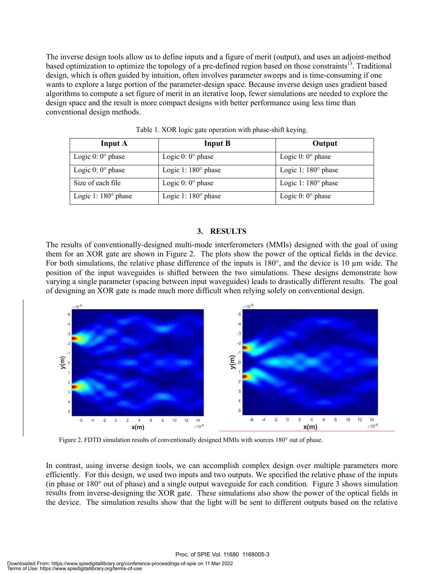The inverse design tools allow us to define inputs and a figure of merit (output), and uses an adjoint-method based optimization to optimize the topology of a pre-defined region based on those constraints<sup>13</sup>. Traditional design, which is often guided by intuition, often involves parameter sweeps and is time-consuming if one wants to explore a large portion of the parameter-design space. Because inverse design uses gradient based algorithms to compute a set figure of merit in an iterative loop, fewer simulations are needed to explore the design space and the result is more compact designs with better performance using less time than conventional design methods.

| <b>Input A</b>             | <b>Input B</b>             | Output                     |
|----------------------------|----------------------------|----------------------------|
| Logic $0:0^{\circ}$ phase  | Logic $0:0^{\circ}$ phase  | Logic $0:0^{\circ}$ phase  |
| Logic $0:0^{\circ}$ phase  | Logic 1: $180^\circ$ phase | Logic 1: $180^\circ$ phase |
| Size of each file          | Logic $0:0^{\circ}$ phase  | Logic 1: $180^\circ$ phase |
| Logic 1: $180^\circ$ phase | Logic 1: $180^\circ$ phase | Logic $0:0^{\circ}$ phase  |

Table 1. XOR logic gate operation with phase-shift keying.

#### **3. RESULTS**

The results of conventionally-designed multi-mode interferometers (MMIs) designed with the goal of using them for an XOR gate are shown in Figure 2. The plots show the power of the optical fields in the device. For both simulations, the relative phase difference of the inputs is 180°, and the device is 10 µm wide. The position of the input waveguides is shifted between the two simulations. These designs demonstrate how varying a single parameter (spacing between input waveguides) leads to drastically different results. The goal of designing an XOR gate is made much more difficult when relying solely on conventional design.



Figure 2. FDTD simulation results of conventionally designed MMIs with sources 180° out of phase.

In contrast, using inverse design tools, we can accomplish complex design over multiple parameters more efficiently. For this design, we used two inputs and two outputs. We specified the relative phase of the inputs (in phase or 180° out of phase) and a single output waveguide for each condition. Figure 3 shows simulation results from inverse-designing the XOR gate. These simulations also show the power of the optical fields in the device. The simulation results show that the light will be sent to different outputs based on the relative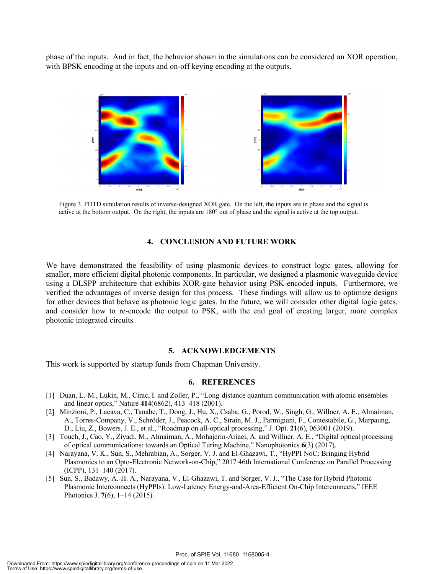phase of the inputs. And in fact, the behavior shown in the simulations can be considered an XOR operation, with BPSK encoding at the inputs and on-off keying encoding at the outputs.



Figure 3. FDTD simulation results of inverse-designed XOR gate. On the left, the inputs are in phase and the signal is active at the bottom output. On the right, the inputs are 180° out of phase and the signal is active at the top output.

#### **4. CONCLUSION AND FUTURE WORK**

We have demonstrated the feasibility of using plasmonic devices to construct logic gates, allowing for smaller, more efficient digital photonic components. In particular, we designed a plasmonic waveguide device using a DLSPP architecture that exhibits XOR-gate behavior using PSK-encoded inputs. Furthermore, we verified the advantages of inverse design for this process. These findings will allow us to optimize designs for other devices that behave as photonic logic gates. In the future, we will consider other digital logic gates, and consider how to re-encode the output to PSK, with the end goal of creating larger, more complex photonic integrated circuits.

#### **5. ACKNOWLEDGEMENTS**

This work is supported by startup funds from Chapman University.

#### **6. REFERENCES**

- [1] Duan, L.-M., Lukin, M., Cirac, I. and Zoller, P., "Long-distance quantum communication with atomic ensembles and linear optics," Nature **414**(6862), 413–418 (2001).
- [2] Minzioni, P., Lacava, C., Tanabe, T., Dong, J., Hu, X., Csaba, G., Porod, W., Singh, G., Willner, A. E., Almaiman, A., Torres-Company, V., Schröder, J., Peacock, A. C., Strain, M. J., Parmigiani, F., Contestabile, G., Marpaung, D., Liu, Z., Bowers, J. E., et al., "Roadmap on all-optical processing," J. Opt. **21**(6), 063001 (2019).
- [3] Touch, J., Cao, Y., Ziyadi, M., Almaiman, A., Mohajerin-Ariaei, A. and Willner, A. E., "Digital optical processing of optical communications: towards an Optical Turing Machine," Nanophotonics **6**(3) (2017).
- [4] Narayana, V. K., Sun, S., Mehrabian, A., Sorger, V. J. and El-Ghazawi, T., "HyPPI NoC: Bringing Hybrid Plasmonics to an Opto-Electronic Network-on-Chip," 2017 46th International Conference on Parallel Processing (ICPP), 131–140 (2017).
- [5] Sun, S., Badawy, A.-H. A., Narayana, V., El-Ghazawi, T. and Sorger, V. J., "The Case for Hybrid Photonic Plasmonic Interconnects (HyPPIs): Low-Latency Energy-and-Area-Efficient On-Chip Interconnects," IEEE Photonics J. **7**(6), 1–14 (2015).